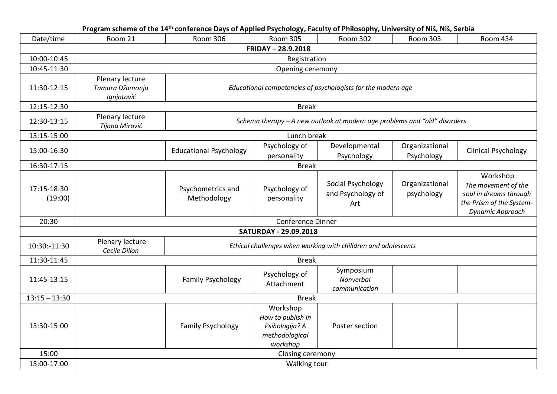|                        |                                                  | Program scheme of the 14 <sup>th</sup> conference Days of Applied Psychology, Faculty of Philosophy, University of Niš, Niš, Serbia |                                                                               |                                                                           |                              |                                                                                                           |  |  |
|------------------------|--------------------------------------------------|-------------------------------------------------------------------------------------------------------------------------------------|-------------------------------------------------------------------------------|---------------------------------------------------------------------------|------------------------------|-----------------------------------------------------------------------------------------------------------|--|--|
| Date/time              | Room 21                                          | <b>Room 306</b>                                                                                                                     | <b>Room 305</b>                                                               | <b>Room 302</b>                                                           | <b>Room 303</b>              | <b>Room 434</b>                                                                                           |  |  |
|                        |                                                  |                                                                                                                                     | FRIDAY - 28.9.2018                                                            |                                                                           |                              |                                                                                                           |  |  |
| 10:00-10:45            |                                                  | Registration                                                                                                                        |                                                                               |                                                                           |                              |                                                                                                           |  |  |
| 10:45-11:30            |                                                  |                                                                                                                                     | Opening ceremony                                                              |                                                                           |                              |                                                                                                           |  |  |
| 11:30-12:15            | Plenary lecture<br>Tamara Džamonja<br>Ignjatović | Educational competencies of psychologists for the modern age                                                                        |                                                                               |                                                                           |                              |                                                                                                           |  |  |
| 12:15-12:30            |                                                  |                                                                                                                                     | <b>Break</b>                                                                  |                                                                           |                              |                                                                                                           |  |  |
| 12:30-13:15            | Plenary lecture<br>Tijana Mirović                |                                                                                                                                     |                                                                               | Schema therapy - A new outlook at modern age problems and "old" disorders |                              |                                                                                                           |  |  |
| 13:15-15:00            |                                                  |                                                                                                                                     | Lunch break                                                                   |                                                                           |                              |                                                                                                           |  |  |
| 15:00-16:30            |                                                  | <b>Educational Psychology</b>                                                                                                       | Psychology of<br>personality                                                  | Developmental<br>Psychology                                               | Organizational<br>Psychology | <b>Clinical Psychology</b>                                                                                |  |  |
| 16:30-17:15            |                                                  |                                                                                                                                     | <b>Break</b>                                                                  |                                                                           |                              |                                                                                                           |  |  |
| 17:15-18:30<br>(19:00) |                                                  | Psychometrics and<br>Methodology                                                                                                    | Psychology of<br>personality                                                  | Social Psychology<br>and Psychology of<br>Art                             | Organizational<br>psychology | Workshop<br>The movement of the<br>soul in dreams through<br>the Prism of the System-<br>Dynamic Approach |  |  |
| 20:30                  |                                                  |                                                                                                                                     | <b>Conference Dinner</b>                                                      |                                                                           |                              |                                                                                                           |  |  |
|                        |                                                  |                                                                                                                                     | <b>SATURDAY - 29.09.2018</b>                                                  |                                                                           |                              |                                                                                                           |  |  |
| 10:30:-11:30           | Plenary lecture<br>Cecile Dillon                 |                                                                                                                                     |                                                                               | Ethical challenges when working with chilldren and adolescents            |                              |                                                                                                           |  |  |
| 11:30-11:45            |                                                  |                                                                                                                                     | <b>Break</b>                                                                  |                                                                           |                              |                                                                                                           |  |  |
| 11:45-13:15            |                                                  | <b>Family Psychology</b>                                                                                                            | Psychology of<br>Attachment                                                   | Symposium<br>Nonverbal<br>communication                                   |                              |                                                                                                           |  |  |
| $13:15 - 13:30$        |                                                  |                                                                                                                                     | <b>Break</b>                                                                  |                                                                           |                              |                                                                                                           |  |  |
| 13:30-15:00            |                                                  | <b>Family Psychology</b>                                                                                                            | Workshop<br>How to publish in<br>Psihologija? A<br>methodological<br>workshop | Poster section                                                            |                              |                                                                                                           |  |  |
| 15:00                  |                                                  | Closing ceremony                                                                                                                    |                                                                               |                                                                           |                              |                                                                                                           |  |  |
| 15:00-17:00            | Walking tour                                     |                                                                                                                                     |                                                                               |                                                                           |                              |                                                                                                           |  |  |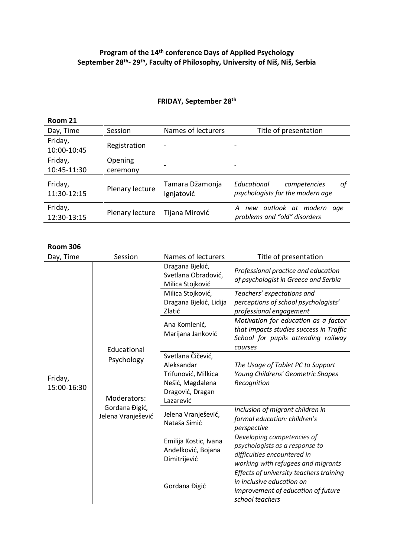## **Program of the 14 th conference Days of Applied Psychology September 28 th - 29th, Faculty of Philosophy, University of Niš, Niš, Serbia**

## **FRIDAY, September 28 th**

| Room 21                |                     |                               |                                                                       |
|------------------------|---------------------|-------------------------------|-----------------------------------------------------------------------|
| Day, Time              | Session             | Names of lecturers            | Title of presentation                                                 |
| Friday,<br>10:00-10:45 | Registration        | $\overline{\phantom{a}}$      |                                                                       |
| Friday,<br>10:45-11:30 | Opening<br>ceremony |                               |                                                                       |
| Friday,<br>11:30-12:15 | Plenary lecture     | Tamara Džamonja<br>Ignjatović | Educational<br>competencies<br>οf<br>psychologists for the modern age |
| Friday,<br>12:30-13:15 | Plenary lecture     | Tijana Mirović                | A new outlook at modern<br>aae<br>problems and "old" disorders        |
|                        |                     |                               |                                                                       |

## **Room 306**

| Day, Time              | Session                                                           | Names of lecturers                                                       | Title of presentation                                                                                                             |
|------------------------|-------------------------------------------------------------------|--------------------------------------------------------------------------|-----------------------------------------------------------------------------------------------------------------------------------|
|                        |                                                                   | Dragana Bjekić,<br>Svetlana Obradović,<br>Milica Stojković               | Professional practice and education<br>of psychologist in Greece and Serbia                                                       |
|                        |                                                                   | Milica Stojković,                                                        | Teachers' expectations and                                                                                                        |
|                        |                                                                   | Dragana Bjekić, Lidija<br>Zlatić                                         | perceptions of school psychologists'<br>professional engagement                                                                   |
|                        |                                                                   | Ana Komlenić,<br>Marijana Janković                                       | Motivation for education as a factor<br>that impacts studies success in Traffic<br>School for pupils attending railway<br>courses |
|                        | Educational                                                       | Svetlana Čičević,                                                        |                                                                                                                                   |
|                        | Psychology<br>Moderators:<br>Gordana Đigić,<br>Jelena Vranješević | Aleksandar                                                               | The Usage of Tablet PC to Support                                                                                                 |
| Friday,<br>15:00-16:30 |                                                                   | Trifunović, Milkica<br>Nešić, Magdalena<br>Dragović, Dragan<br>Lazarević | Young Childrens' Geometric Shapes<br>Recognition                                                                                  |
|                        |                                                                   | Jelena Vranješević,<br>Nataša Simić                                      | Inclusion of migrant children in<br>formal education: children's<br>perspective                                                   |
|                        |                                                                   | Emilija Kostic, Ivana<br>Anđelković, Bojana<br>Dimitrijević              | Developing competencies of<br>psychologists as a response to<br>difficulties encountered in<br>working with refugees and migrants |
|                        |                                                                   | Gordana Đigić                                                            | Effects of university teachers training<br>in inclusive education on<br>improvement of education of future<br>school teachers     |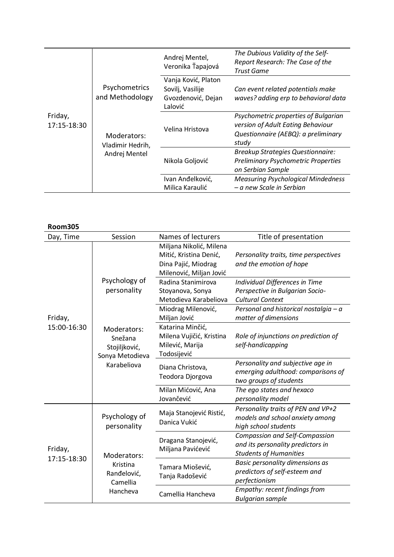| Friday,<br>17:15-18:30 | Psychometrics<br>and Methodology<br>Moderators:<br>Vladimir Hedrih,<br>Andrej Mentel | Andrej Mentel,<br>Veronika Ťapajová                                      | The Dubious Validity of the Self-<br>Report Research: The Case of the<br>Trust Game                                       |
|------------------------|--------------------------------------------------------------------------------------|--------------------------------------------------------------------------|---------------------------------------------------------------------------------------------------------------------------|
|                        |                                                                                      | Vanja Ković, Platon<br>Sovilj, Vasilije<br>Gvozdenović, Dejan<br>Lalović | Can event related potentials make<br>waves? adding erp to behavioral data                                                 |
|                        |                                                                                      | Velina Hristova                                                          | Psychometric properties of Bulgarian<br>version of Adult Eating Behaviour<br>Questionnaire (AEBQ): a preliminary<br>study |
|                        |                                                                                      | Nikola Goljović                                                          | <b>Breakup Strategies Questionnaire:</b><br><b>Preliminary Psychometric Properties</b><br>on Serbian Sample               |
|                        |                                                                                      | Ivan Anđelković,<br>Milica Karaulić                                      | <b>Measuring Psychological Mindedness</b><br>– a new Scale in Serbian                                                     |

| <b>Room305</b>         |                                                                           |                                                                                                     |                                                                                                             |
|------------------------|---------------------------------------------------------------------------|-----------------------------------------------------------------------------------------------------|-------------------------------------------------------------------------------------------------------------|
| Day, Time              | Session                                                                   | Names of lecturers                                                                                  | Title of presentation                                                                                       |
|                        |                                                                           | Miljana Nikolić, Milena<br>Mitić, Kristina Denić,<br>Dina Pajić, Miodrag<br>Milenović, Miljan Jović | Personality traits, time perspectives<br>and the emotion of hope                                            |
|                        | Psychology of<br>personality                                              | Radina Stanimirova<br>Stoyanova, Sonya<br>Metodieva Karabeliova                                     | Individual Differences in Time<br>Perspective in Bulgarian Socio-<br><b>Cultural Context</b>                |
| Friday,                |                                                                           | Miodrag Milenović,<br>Miljan Jović                                                                  | Personal and historical nostalgia - a<br>matter of dimensions                                               |
| 15:00-16:30            | Moderators:<br>Snežana<br>Stojiljković,<br>Sonya Metodieva<br>Karabeliova | Katarina Minčić,<br>Milena Vujičić, Kristina<br>Milević, Marija<br>Todosijević                      | Role of injunctions on prediction of<br>self-handicapping                                                   |
|                        |                                                                           | Diana Christova,<br>Teodora Djorgova                                                                | Personality and subjective age in<br>emerging adulthood: comparisons of<br>two groups of students           |
|                        |                                                                           | Milan Mićović, Ana<br>Jovančević                                                                    | The ego states and hexaco<br>personality model                                                              |
| Friday,<br>17:15-18:30 | Psychology of<br>personality                                              | Maja Stanojević Ristić,<br>Danica Vukić                                                             | Personality traits of PEN and VP+2<br>models and school anxiety among<br>high school students               |
|                        | Moderators:<br>Kristina<br>Ranđelović,<br>Camellia<br>Hancheva            | Dragana Stanojević,<br>Miljana Pavićević                                                            | <b>Compassion and Self-Compassion</b><br>and its personality predictors in<br><b>Students of Humanities</b> |
|                        |                                                                           | Tamara Miošević,<br>Tanja Radošević                                                                 | Basic personality dimensions as<br>predictors of self-esteem and<br>perfectionism                           |
|                        |                                                                           | Camellia Hancheva                                                                                   | Empathy: recent findings from<br><b>Bulgarian sample</b>                                                    |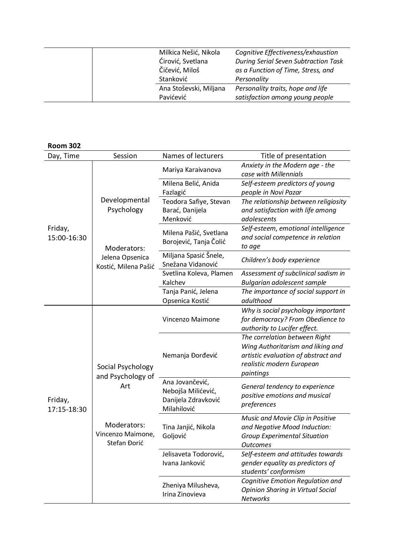| Milkica Nešić, Nikola  | Cognitive Effectiveness/exhaustion          |
|------------------------|---------------------------------------------|
| Ćirović, Svetlana      | <b>During Serial Seven Subtraction Task</b> |
| Čičević, Miloš         | as a Function of Time, Stress, and          |
| Stanković              | Personality                                 |
| Ana Stoševski, Miljana | Personality traits, hope and life           |
| Pavićević              | satisfaction among young people             |
|                        |                                             |

| <b>Room 302</b>        |                                                                                                   |                                                                             |                                                                                                                                                     |
|------------------------|---------------------------------------------------------------------------------------------------|-----------------------------------------------------------------------------|-----------------------------------------------------------------------------------------------------------------------------------------------------|
| Day, Time              | Session                                                                                           | Names of lecturers                                                          | Title of presentation                                                                                                                               |
|                        |                                                                                                   | Mariya Karaivanova                                                          | Anxiety in the Modern age - the<br>case with Millennials                                                                                            |
|                        |                                                                                                   | Milena Belić, Anida<br>Fazlagić                                             | Self-esteem predictors of young<br>people in Novi Pazar                                                                                             |
|                        | Developmental<br>Psychology                                                                       | Teodora Safiye, Stevan<br>Barać, Danijela<br>Menković                       | The relationship between religiosity<br>and satisfaction with life among<br>adolescents                                                             |
| Friday,<br>15:00-16:30 | Moderators:                                                                                       | Milena Pašić, Svetlana<br>Borojević, Tanja Čolić                            | Self-esteem, emotional intelligence<br>and social competence in relation<br>to age                                                                  |
|                        | Jelena Opsenica<br>Kostić, Milena Pašić                                                           | Miljana Spasić Šnele,<br>Snežana Vidanović                                  | Children's body experience                                                                                                                          |
|                        |                                                                                                   | Svetlina Koleva, Plamen                                                     | Assessment of subclinical sadism in                                                                                                                 |
|                        |                                                                                                   | Kalchev                                                                     | Bulgarian adolescent sample                                                                                                                         |
|                        |                                                                                                   | Tanja Panić, Jelena                                                         | The importance of social support in                                                                                                                 |
|                        |                                                                                                   | Opsenica Kostić                                                             | adulthood                                                                                                                                           |
| Friday,<br>17:15-18:30 |                                                                                                   | Vincenzo Maimone                                                            | Why is social psychology important<br>for democracy? From Obedience to<br>authority to Lucifer effect.                                              |
|                        | Social Psychology<br>and Psychology of<br>Art<br>Moderators:<br>Vincenzo Maimone,<br>Stefan Đorić | Nemanja Đorđević                                                            | The correlation between Right<br>Wing Authoritarism and liking and<br>artistic evaluation of abstract and<br>realistic modern European<br>paintings |
|                        |                                                                                                   | Ana Jovančević,<br>Nebojša Milićević,<br>Danijela Zdravković<br>Milahilović | General tendency to experience<br>positive emotions and musical<br>preferences                                                                      |
|                        |                                                                                                   | Tina Janjić, Nikola<br>Goljović                                             | Music and Movie Clip in Positive<br>and Negative Mood Induction:<br><b>Group Experimental Situation</b><br><b>Outcomes</b>                          |
|                        |                                                                                                   | Jelisaveta Todorović,<br>Ivana Janković                                     | Self-esteem and attitudes towards<br>gender equality as predictors of<br>students' conformism                                                       |
|                        |                                                                                                   | Zheniya Milusheva,<br>Irina Zinovieva                                       | Cognitive Emotion Regulation and<br>Opinion Sharing in Virtual Social<br><b>Networks</b>                                                            |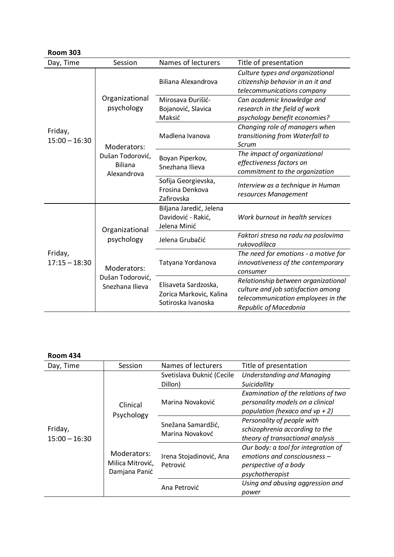| <b>Room 303</b>            |                                                                                    |                                                                       |                                                                                                                                          |
|----------------------------|------------------------------------------------------------------------------------|-----------------------------------------------------------------------|------------------------------------------------------------------------------------------------------------------------------------------|
| Day, Time                  | Session                                                                            | Names of lecturers                                                    | Title of presentation                                                                                                                    |
|                            |                                                                                    | Biliana Alexandrova                                                   | Culture types and organizational<br>citizenship behavior in an it and<br>telecommunications company                                      |
|                            | Organizational<br>psychology                                                       | Mirosava Đurišić-                                                     | Can academic knowledge and                                                                                                               |
|                            |                                                                                    | Bojanović, Slavica<br>Maksić                                          | research in the field of work<br>psychology benefit economies?                                                                           |
| Friday,<br>$15:00 - 16:30$ | Moderators:                                                                        | Madlena Ivanova                                                       | Changing role of managers when<br>transitioning from Waterfall to<br>Scrum                                                               |
|                            | Dušan Todorović,<br><b>Biliana</b><br>Alexandrova                                  | Boyan Piperkov,<br>Snezhana Ilieva                                    | The impact of organizational<br>effectiveness factors on<br>commitment to the organization                                               |
|                            |                                                                                    | Sofija Georgievska,<br>Frosina Denkova<br>Zafirovska                  | Interview as a technique in Human<br>resources Management                                                                                |
| Friday,<br>$17:15 - 18:30$ | Organizational<br>psychology<br>Moderators:<br>Dušan Todorović,<br>Snezhana Ilieva | Biljana Jaredić, Jelena<br>Davidović - Rakić,<br>Jelena Minić         | Work burnout in health services                                                                                                          |
|                            |                                                                                    | Jelena Grubačić                                                       | Faktori stresa na radu na poslovima<br>rukovodilaca                                                                                      |
|                            |                                                                                    | Tatyana Yordanova                                                     | The need for emotions - a motive for<br>innovativeness of the contemporary<br>consumer                                                   |
|                            |                                                                                    | Elisaveta Sardzoska,<br>Zorica Markovic, Kalina<br>Sotiroska Ivanoska | Relationship between organizational<br>culture and job satisfaction among<br>telecommunication employees in the<br>Republic of Macedonia |

| <b>Room 434</b>            |                                                                            |                                       |                                                                                                                 |
|----------------------------|----------------------------------------------------------------------------|---------------------------------------|-----------------------------------------------------------------------------------------------------------------|
| Day, Time                  | Session                                                                    | Names of lecturers                    | Title of presentation                                                                                           |
|                            | Clinical<br>Psychology<br>Moderators:<br>Milica Mitrović,<br>Damjana Panić | Svetislava Đuknić (Cecile<br>Dillon)  | <b>Understanding and Managing</b><br>Suicidallity                                                               |
|                            |                                                                            | Marina Novaković                      | Examination of the relations of two<br>personality models on a clinical<br>population (hexaco and $vp + 2$ )    |
| Friday,<br>$15:00 - 16:30$ |                                                                            | Snežana Samardžić,<br>Marina Novakovć | Personality of people with<br>schizophrenia according to the<br>theory of transactional analysis                |
|                            |                                                                            | Irena Stojadinović, Ana<br>Petrović   | Our body: a tool for integration of<br>emotions and consciousness -<br>perspective of a body<br>psychotherapist |
|                            |                                                                            | Ana Petrović                          | Using and abusing aggression and<br>power                                                                       |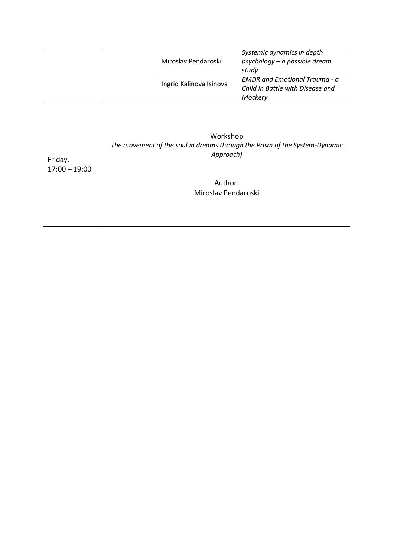|                            | Miroslav Pendaroski                                     | Systemic dynamics in depth<br>psychology - a possible dream<br>study                |
|----------------------------|---------------------------------------------------------|-------------------------------------------------------------------------------------|
|                            | Ingrid Kalinova Isinova                                 | <b>EMDR</b> and Emotional Trauma - a<br>Child in Battle with Disease and<br>Mockery |
| Friday,<br>$17:00 - 19:00$ | Workshop<br>Approach)<br>Author:<br>Miroslav Pendaroski | The movement of the soul in dreams through the Prism of the System-Dynamic          |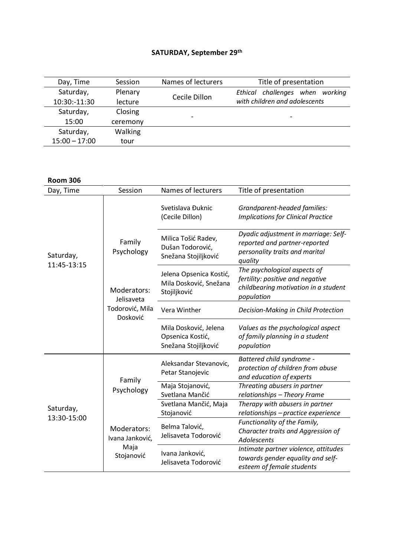## **SATURDAY, September 29th**

| Day, Time       | Session  | Names of lecturers       | Title of presentation           |
|-----------------|----------|--------------------------|---------------------------------|
| Saturday,       | Plenary  |                          | Ethical challenges when working |
| 10:30:-11:30    | lecture  | Cecile Dillon            | with children and adolescents   |
| Saturday,       | Closing  |                          |                                 |
| 15:00           | ceremony | $\overline{\phantom{0}}$ | $\qquad \qquad$                 |
| Saturday,       | Walking  |                          |                                 |
| $15:00 - 17:00$ | tour     |                          |                                 |

**Room 306**

| Day, Time                | Session                                                                          | Names of lecturers                                                | Title of presentation                                                                                                  |
|--------------------------|----------------------------------------------------------------------------------|-------------------------------------------------------------------|------------------------------------------------------------------------------------------------------------------------|
|                          |                                                                                  | Svetislava Đuknic<br>(Cecile Dillon)                              | Grandparent-headed families:<br><b>Implications for Clinical Practice</b>                                              |
| Saturday,<br>11:45-13:15 | Family<br>Psychology<br>Moderators:<br>Jelisaveta<br>Todorović, Mila<br>Dosković | Milica Tošić Radev,<br>Dušan Todorović,<br>Snežana Stojiljković   | Dyadic adjustment in marriage: Self-<br>reported and partner-reported<br>personality traits and marital<br>quality     |
|                          |                                                                                  | Jelena Opsenica Kostić,<br>Mila Dosković, Snežana<br>Stojiljković | The psychological aspects of<br>fertility: positive and negative<br>childbearing motivation in a student<br>population |
|                          |                                                                                  | Vera Winther                                                      | Decision-Making in Child Protection                                                                                    |
|                          |                                                                                  | Mila Dosković, Jelena<br>Opsenica Kostić,<br>Snežana Stojiljković | Values as the psychological aspect<br>of family planning in a student<br>population                                    |
|                          | Family<br>Psychology<br>Moderators:<br>Ivana Janković,<br>Maja<br>Stojanović     | Aleksandar Stevanovic,<br>Petar Stanojevic                        | Battered child syndrome -<br>protection of children from abuse<br>and education of experts                             |
|                          |                                                                                  | Maja Stojanović,<br>Svetlana Mančić                               | Threating abusers in partner<br>relationships - Theory Frame                                                           |
| Saturday,                |                                                                                  | Svetlana Mančić, Maja<br>Stojanović                               | Therapy with abusers in partner<br>relationships - practice experience                                                 |
| 13:30-15:00              |                                                                                  | Belma Talović,<br>Jelisaveta Todorović                            | Functionality of the Family,<br>Character traits and Aggression of<br><b>Adolescents</b>                               |
|                          |                                                                                  | Ivana Janković,<br>Jelisaveta Todorović                           | Intimate partner violence, attitudes<br>towards gender equality and self-<br>esteem of female students                 |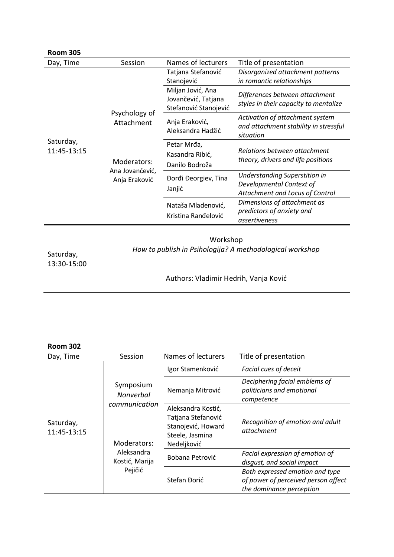| <b>Room 305</b>          |                                                                                |                                                                   |                                                                                                     |  |
|--------------------------|--------------------------------------------------------------------------------|-------------------------------------------------------------------|-----------------------------------------------------------------------------------------------------|--|
| Day, Time                | Session                                                                        | Names of lecturers                                                | Title of presentation                                                                               |  |
| Saturday,<br>11:45-13:15 | Psychology of<br>Attachment<br>Moderators:<br>Ana Jovančević,<br>Anja Eraković | Tatjana Stefanović<br>Stanojević                                  | Disorganized attachment patterns<br>in romantic relationships                                       |  |
|                          |                                                                                | Miljan Jović, Ana<br>Jovančević, Tatjana<br>Stefanović Stanojević | Differences between attachment<br>styles in their capacity to mentalize                             |  |
|                          |                                                                                | Anja Eraković,<br>Aleksandra Hadžić                               | Activation of attachment system<br>and attachment stability in stressful<br>situation               |  |
|                          |                                                                                | Petar Mrđa,<br>Kasandra Ribić,<br>Danilo Bodroža                  | Relations between attachment<br>theory, drivers and life positions                                  |  |
|                          |                                                                                | Đorđi Đeorgiev, Tina<br>Janjić                                    | <b>Understanding Superstition in</b><br>Developmental Context of<br>Attachment and Locus of Control |  |
|                          |                                                                                | Nataša Mladenović,<br>Kristina Ranđelović                         | Dimensions of attachment as<br>predictors of anxiety and<br>assertiveness                           |  |
| Saturday,<br>13:30-15:00 | Workshop<br>How to publish in Psihologija? A methodological workshop           |                                                                   |                                                                                                     |  |
|                          | Authors: Vladimir Hedrih, Vanja Ković                                          |                                                                   |                                                                                                     |  |

| <b>Room 302</b>          |                                                                                                          |                                                                                                  |                                                                                                    |
|--------------------------|----------------------------------------------------------------------------------------------------------|--------------------------------------------------------------------------------------------------|----------------------------------------------------------------------------------------------------|
| Day, Time                | Session                                                                                                  | Names of lecturers                                                                               | Title of presentation                                                                              |
| Saturday,<br>11:45-13:15 | Symposium<br><b>Nonverbal</b><br>communication<br>Moderators:<br>Aleksandra<br>Kostić, Marija<br>Pejičić | Igor Stamenković                                                                                 | Facial cues of deceit                                                                              |
|                          |                                                                                                          | Nemanja Mitrović                                                                                 | Deciphering facial emblems of<br>politicians and emotional<br>competence                           |
|                          |                                                                                                          | Aleksandra Kostić,<br>Tatjana Stefanović<br>Stanojević, Howard<br>Steele, Jasmina<br>Nedeljković | Recognition of emotion and adult<br>attachment                                                     |
|                          |                                                                                                          | Bobana Petrović                                                                                  | Facial expression of emotion of<br>disgust, and social impact                                      |
|                          |                                                                                                          | Stefan Đorić                                                                                     | Both expressed emotion and type<br>of power of perceived person affect<br>the dominance perception |